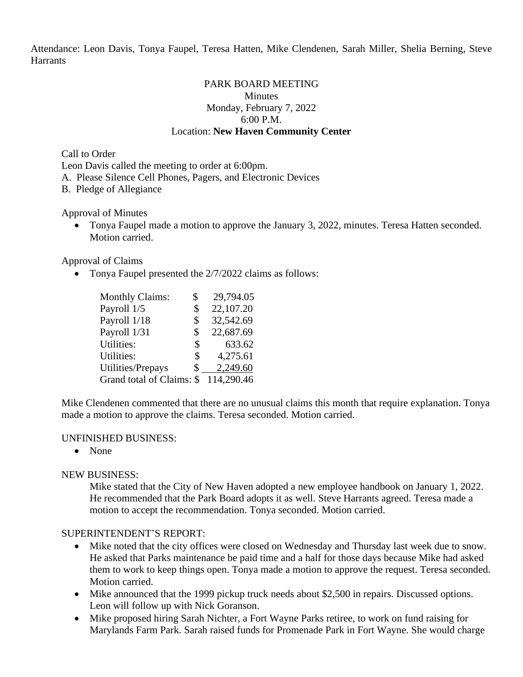Attendance: Leon Davis, Tonya Faupel, Teresa Hatten, Mike Clendenen, Sarah Miller, Shelia Berning, Steve **Harrants** 

#### PARK BOARD MEETING **Minutes** Monday, February 7, 2022 6:00 P.M. Location: **New Haven Community Center**

Call to Order

Leon Davis called the meeting to order at 6:00pm.

A. Please Silence Cell Phones, Pagers, and Electronic Devices

B. Pledge of Allegiance

Approval of Minutes

• Tonya Faupel made a motion to approve the January 3, 2022, minutes. Teresa Hatten seconded. Motion carried.

Approval of Claims

• Tonya Faupel presented the  $2/7/2022$  claims as follows:

| <b>Monthly Claims:</b>    | \$ | 29,794.05  |
|---------------------------|----|------------|
| Payroll 1/5               | \$ | 22,107.20  |
| Payroll 1/18              | S  | 32,542.69  |
| Payroll 1/31              | \$ | 22,687.69  |
| <b>Utilities:</b>         | \$ | 633.62     |
| Utilities:                | \$ | 4,275.61   |
| Utilities/Prepays         | \$ | 2,249.60   |
| Grand total of Claims: \$ |    | 114,290.46 |

Mike Clendenen commented that there are no unusual claims this month that require explanation. Tonya made a motion to approve the claims. Teresa seconded. Motion carried.

#### UNFINISHED BUSINESS:

• None

### NEW BUSINESS:

Mike stated that the City of New Haven adopted a new employee handbook on January 1, 2022. He recommended that the Park Board adopts it as well. Steve Harrants agreed. Teresa made a motion to accept the recommendation. Tonya seconded. Motion carried.

### SUPERINTENDENT'S REPORT:

- Mike noted that the city offices were closed on Wednesday and Thursday last week due to snow. He asked that Parks maintenance be paid time and a half for those days because Mike had asked them to work to keep things open. Tonya made a motion to approve the request. Teresa seconded. Motion carried.
- Mike announced that the 1999 pickup truck needs about \$2,500 in repairs. Discussed options. Leon will follow up with Nick Goranson.
- Mike proposed hiring Sarah Nichter, a Fort Wayne Parks retiree, to work on fund raising for Marylands Farm Park. Sarah raised funds for Promenade Park in Fort Wayne. She would charge